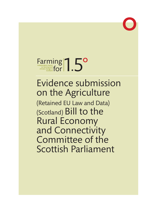

# Farming and **Farming and for 1997** Farming and **Scotland FOR ACTION**

# Evidence submission on the Agriculture (Retained EU Law and Data) (Scotland) Bill to the Rural Economy and Connectivity Committee of the Scottish Parliament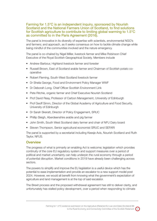#### Farming for 1.5°C is an independent inquiry, sponsored by Nourish Scotland and the National Farmers Union of Scotland, to find solutions for Scottish agriculture to contribute to limiting global warming to 1.5°C as committed to in the Paris Agreement (2016).

The panel is innovative in its diversity of expertise with scientists, environmental NGO's and farmers; and approach, as it seeks consensus on how to tackle climate change while being mindful of the communities involved and the nature emergency.

The panel is co-chaired by Nigel Miller, livestock farmer and Mike Robinson Chief Executive of the Royal Scottish Geographical Society. Members include

- Andrew Barbour, Highland livestock farmer and forester
- Russell Brown, East of Scotland arable farmer and Chairman of Scottish potato cooperative
- Robert Fleming, South-West Scotland livestock farmer
- Dr Sheila George, Food and Environment Policy Manager WWF
- Dr Deborah Long, Chief Officer Scottish Environment Link
- Pete Ritchie, organic farmer and Chief Executive Nourish Scotland
- Prof David Reay, Professor of Carbon Management, University of Edinburgh
- Prof Geoff Simm, Director of the Global Academy of Agriculture and Food Security, University of Edinburgh
- Dr Sarah Skeratt, Director of Policy Engagement, SRUC
- Phillip Sleigh, Aberdeenshire arable and pig farmer
- John Smith, South West Scotland dairy farmer and chair of NFU Dairy board
- Steven Thompson, Senior agricultural economist SRUC and SEFARI

The panel is supported by a secretariat including Keesje Avis, Nourish Scotland and Ruth Taylor, NFUS.

#### **Overview**

The progress of what is primarily an enabling Act is welcome; legislation which provides continuity of the core EU regulatory system and support measures over a period of political and market uncertainty can help underpin the rural economy through a period of potential disruption. Market conditions in 2019 have already been challenging across sectors.

The powers to simplify and improve the EU legislation is a useful device which has the potential to ease implementation and provide an escalator to a new support model post 2024. However, we would all benefit from knowing what the government's expectation of agriculture and land management is at the top of said escalator.

The Brexit process and the proposed withdrawal agreement has still to deliver clarity, and unfortunately has stalled policy development, over a period when responding to climate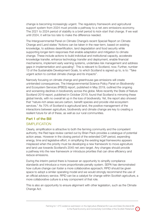change is becoming increasingly urgent. The regulatory framework and agricultural support system from 2024 must provide a pathway to a net zero emissions economy. The 2021 to 2024 period of stability is a brief period to kick-start that change. If we wait until 2024, it will be too late to make the difference needed.

The Intergovernmental Panel on Climate Change's recent Special Report on Climate Change and Land states "Actions can be taken in the near-term, based on existing knowledge, to address desertification, land degradation and food security while supporting longer-term responses that enable adaptation and mitigation to climate change. These include actions to build individual and institutional capacity, accelerate knowledge transfer, enhance technology transfer and deployment, enable financial mechanisms, implement early warning systems, undertake risk management and address gaps in implementation and upscaling". This is relevant to Scotland, now. Further, number 13 of the Sustainable Development Goals, to which Scotland is signed up to, is to: "Take urgent action to combat climate change and its impacts".

Narrowly focusing on climate change and greenhouse gas emissions will create unintended consequences. The Intergovernmental Science Policy Panel on Biodiversity and Ecosystem Services (IPBES) report, published in May 2019, outlined the ongoing and worsening declines in biodiversity across the globe. More recently the State of Nature Scotland 2019 report, published in October 2019, found that Scotland is mirroring these global trends, with no overall let up in the loss of biodiversity. Yet, the report also showed that "nature-rich areas secure carbon, benefit species and provide vital ecosystem services." As 70% of Scotland is agricultural land, the positive management of the interactions between agriculture, biodiversity and climate change are key to creating a resilient future for all of these, as well as our rural communities.

## Part 1 of the Bill

#### SIMPLIFICATION

Clearly, simplification is attractive to both the farming community and the competent authority; the Red tape review carried out by Brian Pack provides a catalogue of potential action areas. However in the closing period of the extended CAP period, expending energy, time and legislative effort, in simplifying the existing legal frameworks appears misplaced when the priority must be developing a new framework to move agriculture and land use towards Scotland's 2045 net zero target. Any changes should provide a pathway into the new framework or introduce priorities that can drive efficiency and reduce emissions.

During the interim period there is however an opportunity to simplify compliance standards and introduce a more proportionate penalty system. SEPA has demonstrated how culture change can foster a more collaborative approach; RPID should be given space to adopt a similar operating model and we would strongly recommend the use of an official advisory service. RPID can be a catalyst for change within Scottish agriculture, a more collaborative culture is a key component of that role.

This is also an opportunity to ensure alignment with other legislation, such as the Climate Change Act.

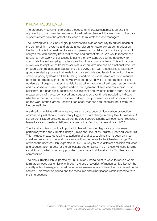#### INNOVATIVE SCHEMES

The proposed mechanisms to create a budget for innovative schemes is an exciting opportunity to inject new techniques and start culture change. Initiatives linked to the core support system have the potential to reach all farm, croft and land managers.

The Farming for 1.5°C inquiry group believes this is an opportunity to put soil health at the centre of farm systems and create a foundation for future low carbon production. Central to this is the creation of a second generation model for both soil sampling and analysis that can quantify both field carbon and nutrient status. We would recommend a national framework of soil testing [utilising the new standardised methodology] to coordinate the soil sampling of all enclosed land on a rotational basis. This soil carbon survey would capture the baseline soil status for on farm-use and as a national resource, through a central database. Supporting this survey effort with a specialist soil advisory group can start a process that leads to a more sophisticated level of nutrient budgeting, smart cropping systems and the building of carbon rich soils which are more resilient to extreme climate events. The advisory effort should develop target ranges for pH, nutrients and organic matter on a field basis taking account of soil type, region, climate, and proposed land use. Targeted carbon management of soils can move production efficiency up a gear, while quantifying a significant and dynamic carbon store. Accurate measurement of the carbon saved and sequestered over time is needed to indicate whether or not various measures are working. This proposed soil carbon initiative builds on the work of the Carbon Positive Pilot [saos] that has had technical input from the Hutton Institute.

A soil carbon initiative will generate key baseline data, underpin low carbon production, optimise sequestration and importantly trigger a culture change in many farm businesses. A soil carbon initiative delivered as part of the core support scheme will touch all of Scotland's farmed area and create a platform for a low carbon farming framework from 2024.

The Panel also feels that it is important to link with existing legislative commitment, particularly within the Climate Change (Emissions Reduction Targets) (Scotland) Act 2019. This includes measures relating to agricultural land use, such as the nitrogen balance sheet and reports on the land use strategy. It further refers to the Climate Change Plan, of which the updated Plan, expected in 2020, is likely to have different emission reduction and sequestration targets for the agricultural sector. Delivering on these will need funding - additional to what is currently provided to ensure a Just Transition for Scotland's rural communities.

The New Climate Plan, expected by 2024, is required to point to ways to reduce whole farm greenhouse gas emissions through the use of a variety of measures. It is key for the stability of land managers that all government measures are coherent across departmental sectors. This transition period and the measures and simplification within it need to take this into account.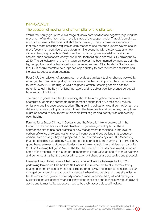#### IMPROVEMENT

#### The question of moving funding from pillar one to pillar two

Within the Inquiry group there is a range of views both positive and negative regarding the movement of funding from pillar 1 at this stage of the support cycle. That division of view mirrors the views of the wider stakeholder community. There is however a recognition that the climate challenge requires an early response and that the support system should move focus and incentivise a low carbon farming economy with a step towards a new climate change approach in 2024. New funding is being made available for all other sectors, such as transport, energy and more, to transition to net zero GHG emissions by 2040. The agriculture and land management sector has been named by many as both the biggest problem and potential saviour in delivering net zero GHG levels for Scotland and the UK. It should therefore be supported appropriately to both reduce its emissions and increase its sequestration potential.

Post CAP, the redesign of greening can provide a significant tool for change backed by a budget that can drive uptake; with a delivery mechanism in place it has the potential to reach every IACS holding. A well-designed Scottish Greening scheme has the potential to gain the buy-in of land managers and to deliver positive change across all farm and croft holdings.

The group suggests Scotland's Greening should be a mitigation menu with a wide spectrum of context-appropriate management options that drive efficiency, reduce emissions and increase sequestration. The greening obligation would be met by farmers delivering on selected options which fit with the farm profile and resources; the options might be scored to ensure that a threshold level of greening activity was achieved by each holding.

Farming for a Better Climate in Scotland and the Mitigation Menu developed in the Republic of Ireland have identified climate change management options. These approaches aim to use best practice or new management techniques to improve the carbon efficiency of existing systems or to incentivise land use options that sequester carbon. As a package they are projected to reduce emissions by over 20% (accepting that some holdings will already have adopted best practice). The Farming for 1.5°C Inquiry group have reviewed options and believe the following should be considered as part of a Scottish Greening Mitigation Menu. The fact that some businesses have already adopted some of the techniques is a strength, demonstrating their value as part of today's systems and demonstrating that the proposed management changes are accessible and practical.

However, it must be recognised that there is a huge difference between the top 10% performing farmers and the bottom 10% across the livestock and arable sectors. Solely relying on the motivation of improved efficiency, productivity and thus income has not so far changed behaviour. A new approach is needed, where best practice includes strategies to tackle climate change and biodiversity concerns and is considered by all land managers. Maximising the use of benchmarking, innovations in science and technology, robust relevant advice and farmer-led best practice need to be easily accessible to all involved.

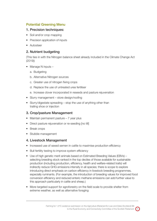## Potential Greening Menu

#### 1. Precision techniques:

- Soil and/or crop mapping
- Precision application of inputs
- Autosteer

## 2. Nutrient budgeting

(This ties in with the Nitrogen balance sheet already included in the Climate Change Act (2019))

- Manage N inputs
	- a. Budgeting
	- b. Alternative Nitrogen sources
	- c. Greater use of nitrogen fixing crops
	- d. Replace the use of untreated urea fertiliser
	- e. Increase clover incorporated in reseeds and pasture rejuvenation
- Slurry management store design/roofing
- Slurry/digestate spreading stop the use of anything other than trailing shoe or injection

## 3. Crop/pasture Management

- Maintain permanent pasture 7 year plus
- Direct pasture rejuvenation or re-seeding [no till]
- Break crops
- Stubble management

#### 4. Livestock Management

- Increased use of sexed semen in cattle to maximise production efficiency
- Bull fertility testing to improve system efficiency
- Use of high genetic merit animals based on Estimated Breeding Values (EBVs) selecting breeding stock ranked in the top deciles of those available for sustainable production (including production, efficiency, health and welfare-related traits) will indirectly reduce GHG emissions intensity in all species; there is scope to explore introducing direct emphasis on carbon efficiency in livestock breeding programmes, especially ruminants. (For example, the introduction of breeding values for improved food conversion efficiency and reduced enteric methane emissions can add further value to this approach particularly in cattle and sheep.)
- More targeted support for agroforestry on the field scale to provide shelter from extreme weather, as well as alternative foraging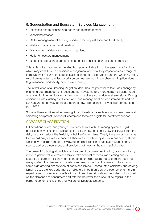### 5. Sequestration and Ecosystem Services Management

- Increased hedge planting and better hedge management
- Woodland creation
- Better management of existing woodland for sequestration and biodiversity
- Wetland management and creation
- Management of deep and medium peat land
- Herb rich pasture management
- Better incorporation of agroforestry at the field (including arable) and farm scale

This list is not exhaustive nor detailed but gives an indication of the spectrum of actions which may contribute to emissions management and how they impact across a range of farm systems. Clearly some options also contribute to biodiversity and the Greening Menu would be expected to reflect priority outcomes beyond climate change mitigation alone (e.g. resilience, biodiversity, air and water quality).

The introduction of a Greening Mitigation Menu has the potential to fast-track change by changing both management focus and farm systems to a more carbon efficient model; a catalyst for interventions on all farms which actively cut agricultural emissions. Driving efficiencies into existing production and land management delivers immediate carbon savings and a pathway to the adoption of new approaches to low carbon production post 2024.

Some of these activities will require significant investment - such as slurry store covers and spreading equipment. We would recommend these are eligible for investment support.

#### CARCASE CLASSIFICATION

EU definitions of veal and young bulls do not fit well with UK rearing systems. Rigid definitions may block the development of efficient systems that grow bull calves from the dairy herd and reduce the flexibility of bull beef enterprises. Clearly there are concerns as to how bull dairy calves are handled, there are also efficiency issues in bull beef systems which have a carbon impact. Reviewing the classification of cattle at slaughter should seek to address these issues and provide a pathway for the rearing of all calves.

The present EUROP grid, which is at the core of carcase classification, does not directly relate to yield in value terms and fails to take account of measurable eating quality features. In carbon efficiency terms the focus on hind quarter development does not always reflect the demands of retailers and may impact on the levels of dystocia in some high grading phenotypes of cattle and lambs. Reproductive efficiency and calving/ lambing ease are key performance indicators in both carbon and economic terms. An expert review of carcase classification and premium grids should be rolled out focused on the demands of consumers and retailers however there should be regard to the carbon/economic efficiency and welfare of livestock systems.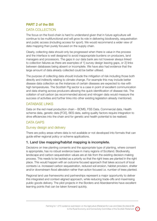## PART 2 of the Bill

## DATA COLLECTION

The focus on the food-chain is hard to understand given that in future agriculture will continue to be multifunctional and will grow its role in delivering biodiversity, sequestration and public access (including access for sport). We would recommend a wider view of data mapping than purely focused on the supply chain.

Clearly, collecting data should only be progressed when there is value in the process and the interface is well designed to avoid inappropriate burdens on producers, land managers and processors. The gaps in our data bank are not however always linked to collection failures as there are examples of 1] survey design leaving gaps, or 2] links between databases being absent or incomplete. We have also had evidence that the large amount of data already collected could be better utilised.

The purpose of collecting data should include the mitigation of risk including those both directly and indirectly relating to climate change. For example this may include better disease data collection as the instances of certain diseases are expected to rise with high temperatures. The Scottish Pig sector is a case in point of excellent communication and data sharing across producers allowing the quick identification of disease risk. The collation of soil carbon (as recommended above) and nitrogen data would measure the success of activities and further links into other existing legislation already mentioned.

### DATABASE LINKS

Data on the red meat production chain – BCMS, FSS Data. Commercial data, Health scheme data, genetic data [FCE], BES data, eating quality factors require integration to drive efficiencies into the chain and for genetic and health potential to be realised.

## DATA GAPS

## Survey design and delivery

There are policy areas where data is not available or not developed into formats that can guide either regional policy or scheme applications.

## 1. Land Use mapping/habitat mapping is incomplete.

Decisions on tree planting consents and the appropriate type of planting, where consent is appropriate, has no robust evidence base in many regions of Scotland. Biodiversity, landscape and carbon sequestration values are at risk from the existing decision-making process. This needs to be tackled as a priority so that the right trees are planted in the right place. This would happen with an outcome focused approach that takes account of local contexts i.e. increased carbon sequestration, reduced soil erosion, habitat provision, shelter and/or downstream flood alleviation rather than action focused i.e. number of trees planted.

Regional land use frameworks and partnerships represent a major opportunity to deliver this integrated and context-aligned approach, while reducing trade-offs and maximising public goods delivery. The pilot projects in the Borders and Aberdeenshire have excellent learning points that can be taken forward quickly.